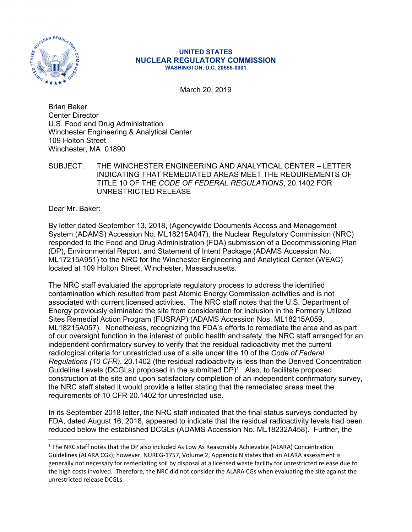

## **UNITED STATES NUCLEAR REGULATORY COMMISSION WASHINGTON, D.C. 20555-0001**

March 20, 2019

Brian Baker Center Director U.S. Food and Drug Administration Winchester Engineering & Analytical Center 109 Holton Street Winchester, MA 01890

SUBJECT: THE WINCHESTER ENGINEERING AND ANALYTICAL CENTER – LETTER INDICATING THAT REMEDIATED AREAS MEET THE REQUIREMENTS OF TITLE 10 OF THE *CODE OF FEDERAL REGULATIONS*, 20.1402 FOR UNRESTRICTED RELEASE

Dear Mr. Baker:

By letter dated September 13, 2018, (Agencywide Documents Access and Management System (ADAMS) Accession No. ML18215A047), the Nuclear Regulatory Commission (NRC) responded to the Food and Drug Administration (FDA) submission of a Decommissioning Plan (DP), Environmental Report, and Statement of Intent Package (ADAMS Accession No. ML17215A951) to the NRC for the Winchester Engineering and Analytical Center (WEAC) located at 109 Holton Street, Winchester, Massachusetts.

The NRC staff evaluated the appropriate regulatory process to address the identified contamination which resulted from past Atomic Energy Commission activities and is not associated with current licensed activities. The NRC staff notes that the U.S. Department of Energy previously eliminated the site from consideration for inclusion in the Formerly Utilized Sites Remedial Action Program (FUSRAP) (ADAMS Accession Nos. ML18215A059, ML18215A057). Nonetheless, recognizing the FDA's efforts to remediate the area and as part of our oversight function in the interest of public health and safety, the NRC staff arranged for an independent confirmatory survey to verify that the residual radioactivity met the current radiological criteria for unrestricted use of a site under title 10 of the *Code of Federal Regulations (10 CFR)*, 20.1402 (the residual radioactivity is less than the Derived Concentration Guideline Levels (DCGLs) proposed in the submitted DP)<sup>1</sup>. Also, to facilitate proposed construction at the site and upon satisfactory completion of an independent confirmatory survey, the NRC staff stated it would provide a letter stating that the remediated areas meet the requirements of 10 CFR 20.1402 for unrestricted use.

In its September 2018 letter, the NRC staff indicated that the final status surveys conducted by FDA, dated August 16, 2018, appeared to indicate that the residual radioactivity levels had been reduced below the established DCGLs (ADAMS Accession No. ML18232A458). Further, the

<sup>&</sup>lt;sup>1</sup> The NRC staff notes that the DP also included As Low As Reasonably Achievable (ALARA) Concentration Guidelines (ALARA CGs); however, NUREG-1757, Volume 2, Appendix N states that an ALARA assessment is generally not necessary for remediating soil by disposal at a licensed waste facility for unrestricted release due to the high costs involved. Therefore, the NRC did not consider the ALARA CGs when evaluating the site against the unrestricted release DCGLs.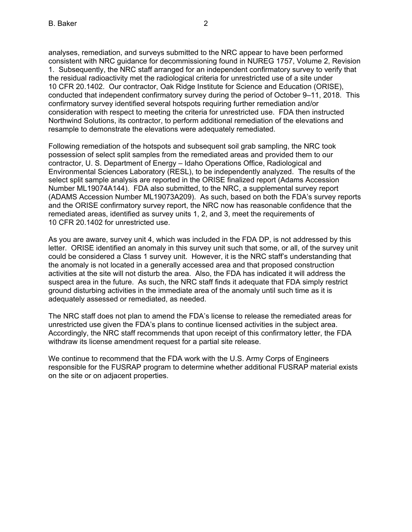analyses, remediation, and surveys submitted to the NRC appear to have been performed consistent with NRC guidance for decommissioning found in NUREG 1757, Volume 2, Revision 1. Subsequently, the NRC staff arranged for an independent confirmatory survey to verify that the residual radioactivity met the radiological criteria for unrestricted use of a site under 10 CFR 20.1402. Our contractor, Oak Ridge Institute for Science and Education (ORISE), conducted that independent confirmatory survey during the period of October 9–11, 2018. This confirmatory survey identified several hotspots requiring further remediation and/or consideration with respect to meeting the criteria for unrestricted use. FDA then instructed Northwind Solutions, its contractor, to perform additional remediation of the elevations and resample to demonstrate the elevations were adequately remediated.

Following remediation of the hotspots and subsequent soil grab sampling, the NRC took possession of select split samples from the remediated areas and provided them to our contractor, U. S. Department of Energy – Idaho Operations Office, Radiological and Environmental Sciences Laboratory (RESL), to be independently analyzed. The results of the select split sample analysis are reported in the ORISE finalized report (Adams Accession Number ML19074A144). FDA also submitted, to the NRC, a supplemental survey report (ADAMS Accession Number ML19073A209). As such, based on both the FDA's survey reports and the ORISE confirmatory survey report, the NRC now has reasonable confidence that the remediated areas, identified as survey units 1, 2, and 3, meet the requirements of 10 CFR 20.1402 for unrestricted use.

As you are aware, survey unit 4, which was included in the FDA DP, is not addressed by this letter. ORISE identified an anomaly in this survey unit such that some, or all, of the survey unit could be considered a Class 1 survey unit. However, it is the NRC staff's understanding that the anomaly is not located in a generally accessed area and that proposed construction activities at the site will not disturb the area. Also, the FDA has indicated it will address the suspect area in the future. As such, the NRC staff finds it adequate that FDA simply restrict ground disturbing activities in the immediate area of the anomaly until such time as it is adequately assessed or remediated, as needed.

The NRC staff does not plan to amend the FDA's license to release the remediated areas for unrestricted use given the FDA's plans to continue licensed activities in the subject area. Accordingly, the NRC staff recommends that upon receipt of this confirmatory letter, the FDA withdraw its license amendment request for a partial site release.

We continue to recommend that the FDA work with the U.S. Army Corps of Engineers responsible for the FUSRAP program to determine whether additional FUSRAP material exists on the site or on adjacent properties.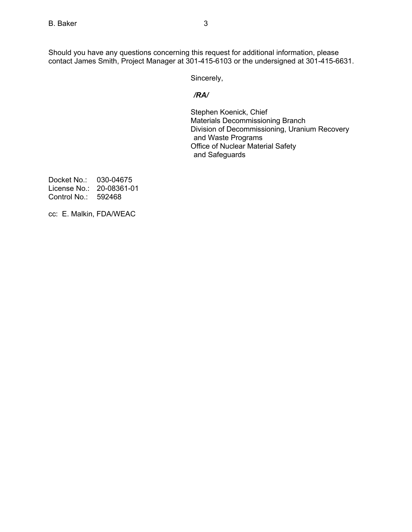Should you have any questions concerning this request for additional information, please contact James Smith, Project Manager at 301-415-6103 or the undersigned at 301-415-6631.

Sincerely,

## */RA/*

Stephen Koenick, Chief Materials Decommissioning Branch Division of Decommissioning, Uranium Recovery and Waste Programs Office of Nuclear Material Safety and Safeguards

Docket No.: 030-04675 License No.: 20-08361-01 Control No.: 592468

cc: E. Malkin, FDA/WEAC